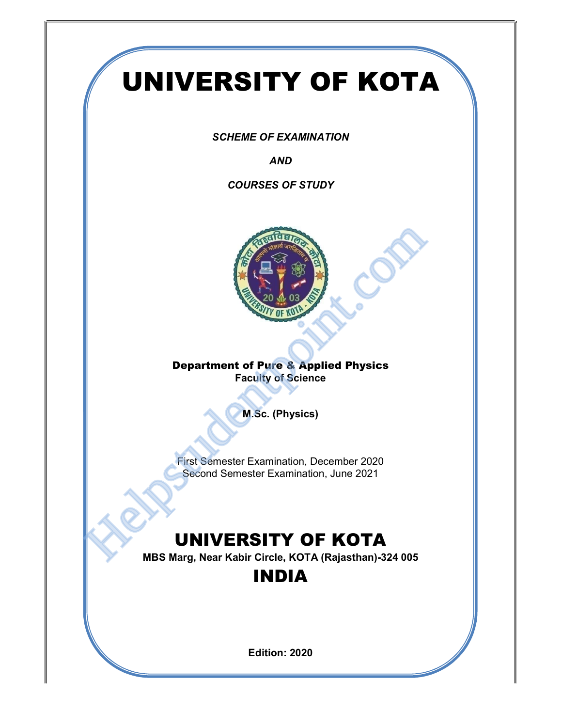# UNIVERSITY OF KOTA

SCHEME OF EXAMINATION

AND

COURSES OF STUDY



#### Department of Pure & Applied Physics Faculty of Science

M.Sc. (Physics)

First Semester Examination, December 2020 Second Semester Examination, June 2021

## UNIVERSITY OF KOTA

MBS Marg, Near Kabir Circle, KOTA (Rajasthan)-324 005

### INDIA

Edition: 2020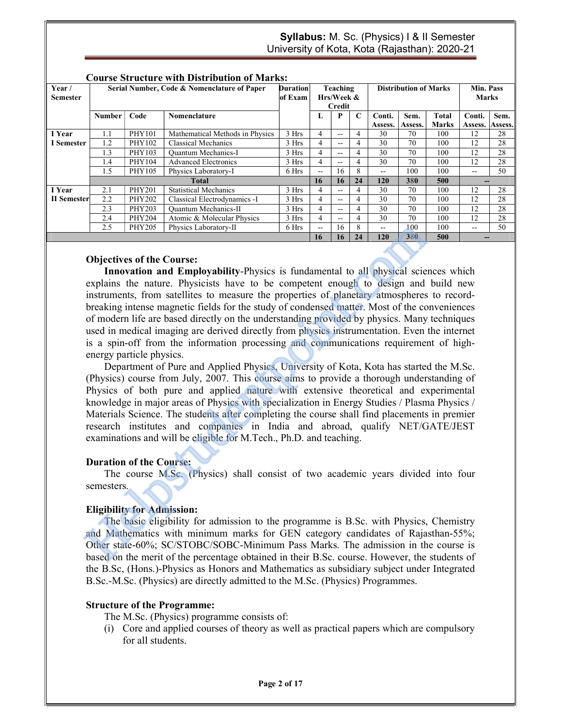| <b>Course Structure with Distribution of Marks:</b> |                                             |               |                                 |                 |            |     |             |                              |         |              |                 |         |
|-----------------------------------------------------|---------------------------------------------|---------------|---------------------------------|-----------------|------------|-----|-------------|------------------------------|---------|--------------|-----------------|---------|
| Year/                                               | Serial Number, Code & Nomenclature of Paper |               |                                 | <b>Duration</b> | Teaching   |     |             | <b>Distribution of Marks</b> |         |              | Min. Pass       |         |
| <b>Semester</b>                                     |                                             |               |                                 | of Exam         | Hrs/Week & |     |             |                              |         | <b>Marks</b> |                 |         |
|                                                     |                                             |               |                                 |                 | Credit     |     |             |                              |         |              |                 |         |
|                                                     | Number                                      | Code          | Nomenclature                    |                 | L          | P   | $\mathbf C$ | Conti.                       | Sem.    | <b>Total</b> | Conti.          | Sem.    |
|                                                     |                                             |               |                                 |                 |            |     |             | Assess.                      | Assess. | Marks        | Assess.         | Assess. |
| I Year                                              | 1.1                                         | <b>PHY101</b> | Mathematical Methods in Physics | 3 Hrs           | 4          | --  | 4           | 30                           | 70      | 100          | 12              | 28      |
| I Semester                                          | 1.2                                         | PHY102        | Classical Mechanics             | 3 Hrs           | 4          | $-$ | 4           | 30                           | 70      | 100          | 12              | 28      |
|                                                     | 1.3                                         | PHY103        | <b>Ouantum Mechanics-I</b>      | 3 Hrs           | 4          | $-$ | 4           | 30                           | 70      | 100          | 12              | 28      |
|                                                     | 1.4                                         | PHY104        | <b>Advanced Electronics</b>     | 3 Hrs           | 4          | --  | 4           | 30                           | 70      | 100          | 12              | 28      |
|                                                     | 1.5                                         | PHY105        | Physics Laboratory-I            | 6 Hrs           | $- -$      | 16  | 8           | $- -$                        | 100     | 100          | $- -$           | 50      |
|                                                     | <b>Total</b>                                |               |                                 |                 | 16         | 16  | 24          | 120                          | 380     | 500          | $\qquad \qquad$ |         |
| I Year                                              | 2.1                                         | <b>PHY201</b> | <b>Statistical Mechanics</b>    | 3 Hrs           | 4          | --  | 4           | 30                           | 70      | 100          | 12              | 28      |
| II Semester                                         | 2.2                                         | <b>PHY202</b> | Classical Electrodynamics -I    | 3 Hrs           | 4          | $-$ | 4           | 30                           | 70      | 100          | 12              | 28      |
|                                                     | 2.3                                         | <b>PHY203</b> | Ouantum Mechanics-II            | 3 Hrs           | 4          | $-$ | 4           | 30                           | 70      | 100          | 12              | 28      |
|                                                     | 2.4                                         | PHY204        | Atomic & Molecular Physics      | 3 Hrs           | 4          | --  | 4           | 30                           | 70      | 100          | 12              | 28      |
|                                                     | 2.5                                         | PHY205        | Physics Laboratory-II           | 6 Hrs           | $- -$      | 16  | 8           | $\sim$ $\sim$                | 100     | 100          | $- -$           | 50      |
|                                                     |                                             |               |                                 |                 | 16         | 16  | 24          | 120                          | 380     | 500          | --              |         |

#### Course Structure with Distribution of Marks:

#### Objectives of the Course:

Innovation and Employability-Physics is fundamental to all physical sciences which explains the nature. Physicists have to be competent enough to design and build new instruments, from satellites to measure the properties of planetary atmospheres to recordbreaking intense magnetic fields for the study of condensed matter. Most of the conveniences of modern life are based directly on the understanding provided by physics. Many techniques used in medical imaging are derived directly from physics instrumentation. Even the internet is a spin-off from the information processing and communications requirement of highenergy particle physics. **2.5** PHY206 Physics Labontory-II 6 Hrs  $\frac{1}{16}$  16 R  $\frac{1}{26}$  16 16 2<br> **Objectives of the Course:**<br>
Imporation and Employability-Physics is fundamental to all physical scie<br>
explains the nature. Physicists have to be

Department of Pure and Applied Physics, University of Kota, Kota has started the M.Sc. (Physics) course from July, 2007. This course aims to provide a thorough understanding of Physics of both pure and applied nature with extensive theoretical and experimental knowledge in major areas of Physics with specialization in Energy Studies / Plasma Physics / Materials Science. The students after completing the course shall find placements in premier research institutes and companies in India and abroad, qualify NET/GATE/JEST examinations and will be eligible for M.Tech., Ph.D. and teaching.

#### Duration of the Course:

The course M.Sc. (Physics) shall consist of two academic years divided into four semesters.

#### Eligibility for Admission:

The basic eligibility for admission to the programme is B.Sc. with Physics, Chemistry and Mathematics with minimum marks for GEN category candidates of Rajasthan-55%; Other state-60%; SC/STOBC/SOBC-Minimum Pass Marks. The admission in the course is based on the merit of the percentage obtained in their B.Sc. course. However, the students of the B.Sc, (Hons.)-Physics as Honors and Mathematics as subsidiary subject under Integrated B.Sc.-M.Sc. (Physics) are directly admitted to the M.Sc. (Physics) Programmes.

#### Structure of the Programme:

- The M.Sc. (Physics) programme consists of:
- (i) Core and applied courses of theory as well as practical papers which are compulsory for all students.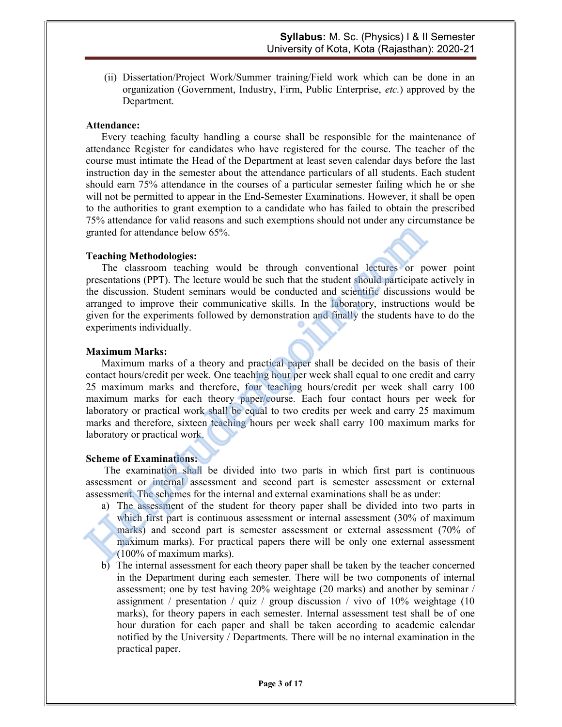(ii) Dissertation/Project Work/Summer training/Field work which can be done in an organization (Government, Industry, Firm, Public Enterprise, etc.) approved by the Department.

#### Attendance:

Every teaching faculty handling a course shall be responsible for the maintenance of attendance Register for candidates who have registered for the course. The teacher of the course must intimate the Head of the Department at least seven calendar days before the last instruction day in the semester about the attendance particulars of all students. Each student should earn 75% attendance in the courses of a particular semester failing which he or she will not be permitted to appear in the End-Semester Examinations. However, it shall be open to the authorities to grant exemption to a candidate who has failed to obtain the prescribed 75% attendance for valid reasons and such exemptions should not under any circumstance be granted for attendance below 65%.

#### Teaching Methodologies:

The classroom teaching would be through conventional lectures or power point presentations (PPT). The lecture would be such that the student should participate actively in the discussion. Student seminars would be conducted and scientific discussions would be arranged to improve their communicative skills. In the laboratory, instructions would be given for the experiments followed by demonstration and finally the students have to do the experiments individually.

#### Maximum Marks:

Maximum marks of a theory and practical paper shall be decided on the basis of their contact hours/credit per week. One teaching hour per week shall equal to one credit and carry 25 maximum marks and therefore, four teaching hours/credit per week shall carry 100 maximum marks for each theory paper/course. Each four contact hours per week for laboratory or practical work shall be equal to two credits per week and carry 25 maximum marks and therefore, sixteen teaching hours per week shall carry 100 maximum marks for laboratory or practical work. granted for attendance below 65%.<br>
Teaching Methodologies:<br>
The classroom teaching would be through conventional lectures or presentations (PPT). The lecture would be such that the student should participate the discussio

#### Scheme of Examinations:

The examination shall be divided into two parts in which first part is continuous assessment or internal assessment and second part is semester assessment or external assessment. The schemes for the internal and external examinations shall be as under:

- a) The assessment of the student for theory paper shall be divided into two parts in which first part is continuous assessment or internal assessment (30% of maximum marks) and second part is semester assessment or external assessment (70% of maximum marks). For practical papers there will be only one external assessment (100% of maximum marks).
- b) The internal assessment for each theory paper shall be taken by the teacher concerned in the Department during each semester. There will be two components of internal assessment; one by test having 20% weightage (20 marks) and another by seminar / assignment / presentation / quiz / group discussion / vivo of 10% weightage (10 marks), for theory papers in each semester. Internal assessment test shall be of one hour duration for each paper and shall be taken according to academic calendar notified by the University / Departments. There will be no internal examination in the practical paper.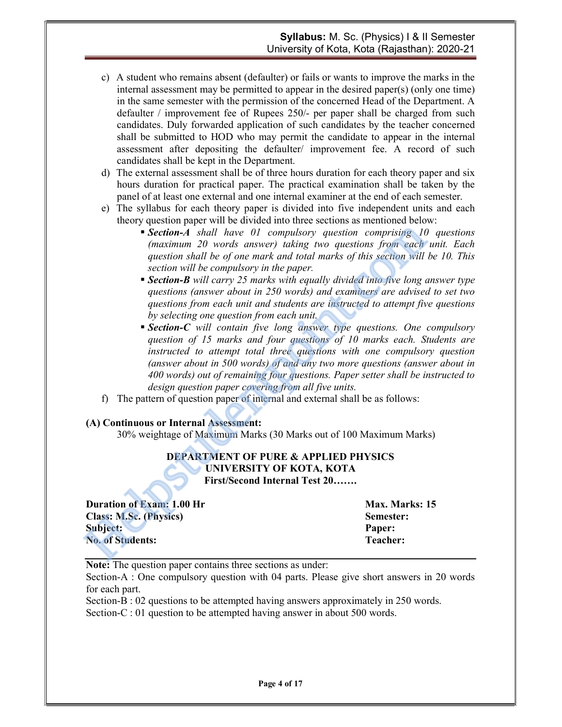- c) A student who remains absent (defaulter) or fails or wants to improve the marks in the internal assessment may be permitted to appear in the desired paper(s) (only one time) in the same semester with the permission of the concerned Head of the Department. A defaulter / improvement fee of Rupees 250/- per paper shall be charged from such candidates. Duly forwarded application of such candidates by the teacher concerned shall be submitted to HOD who may permit the candidate to appear in the internal assessment after depositing the defaulter/ improvement fee. A record of such candidates shall be kept in the Department.
- d) The external assessment shall be of three hours duration for each theory paper and six hours duration for practical paper. The practical examination shall be taken by the panel of at least one external and one internal examiner at the end of each semester.
- e) The syllabus for each theory paper is divided into five independent units and each theory question paper will be divided into three sections as mentioned below:
	- **Section-A** shall have 01 compulsory question comprising 10 questions (maximum 20 words answer) taking two questions from each unit. Each question shall be of one mark and total marks of this section will be 10. This section will be compulsory in the paper.
	- **Section-B** will carry 25 marks with equally divided into five long answer type questions (answer about in 250 words) and examiners are advised to set two questions from each unit and students are instructed to attempt five questions by selecting one question from each unit.
- **Section-C** will contain five long answer type questions. One compulsory question of 15 marks and four questions of 10 marks each. Students are instructed to attempt total three questions with one compulsory question (answer about in 500 words) of and any two more questions (answer about in 400 words) out of remaining four questions. Paper setter shall be instructed to design question paper covering from all five units. **Section-A** shall have 01 compulsory question comprising 16<br>
(maximum 20 words answer) aking two questions from each<br>
question shall be of one mark and total marks of this section will<br>
section will be compulsory in the p
	- f) The pattern of question paper of internal and external shall be as follows:

#### (A) Continuous or Internal Assessment:

30% weightage of Maximum Marks (30 Marks out of 100 Maximum Marks)

#### DEPARTMENT OF PURE & APPLIED PHYSICS UNIVERSITY OF KOTA, KOTA First/Second Internal Test 20…….

| <b>Duration of Exam: 1.00 Hr</b> | Max. Marks: 15 |
|----------------------------------|----------------|
| <b>Class: M.Sc. (Physics)</b>    | Semester:      |
| Subject:                         | Paper:         |
| <b>No. of Students:</b>          | Teacher:       |

Note: The question paper contains three sections as under:

Section-A : One compulsory question with 04 parts. Please give short answers in 20 words for each part.

Section-B : 02 questions to be attempted having answers approximately in 250 words. Section-C : 01 question to be attempted having answer in about 500 words.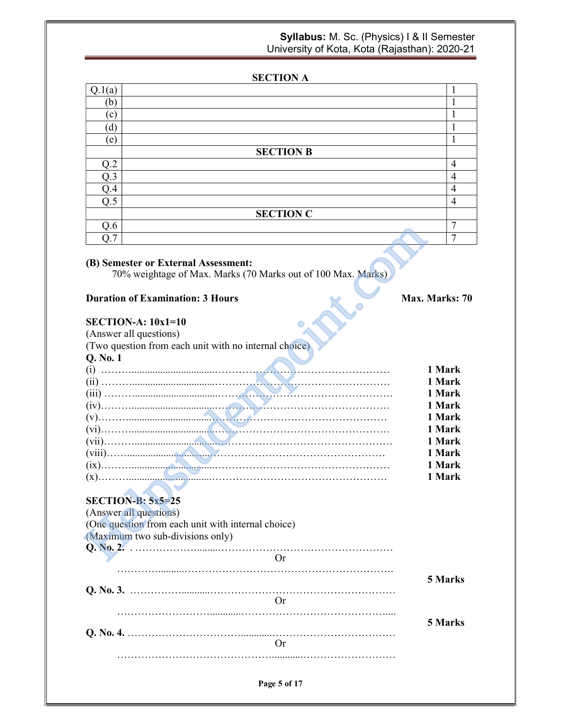#### SECTION A

| $\mathbf{b}$<br>$\mathbf{c}$ |  |
|------------------------------|--|
|                              |  |
|                              |  |
| 'd                           |  |
| (e)                          |  |
| <b>SECTION B</b>             |  |
| ∩⊇<br>$\overline{4}$         |  |
| O.3<br>4                     |  |
| $\overline{4}$<br>Q.4        |  |
| Q.5<br>$\overline{4}$        |  |
| <b>SECTION C</b>             |  |
| 0.6<br>Ξ                     |  |
| Ξ                            |  |

#### (B) Semester or External Assessment:

#### **Duration of Examination: 3 Hours Max. Marks: 70** Max. Marks: 70

#### $SETCTION A: 10x1=10$

| Q.O                                                                                                 |                                                              |             |        |
|-----------------------------------------------------------------------------------------------------|--------------------------------------------------------------|-------------|--------|
| O.7                                                                                                 |                                                              |             | 7      |
| (B) Semester or External Assessment:                                                                | 70% weightage of Max. Marks (70 Marks out of 100 Max. Marks) |             |        |
| <b>Duration of Examination: 3 Hours</b>                                                             |                                                              | Max. Marks: |        |
| $SECTION-A: 10x1=10$                                                                                |                                                              |             |        |
| (Answer all questions)                                                                              |                                                              |             |        |
| (Two question from each unit with no internal choice)                                               |                                                              |             |        |
| Q. No. 1                                                                                            |                                                              |             |        |
|                                                                                                     |                                                              |             | 1 Mark |
|                                                                                                     |                                                              |             | 1 Mark |
|                                                                                                     |                                                              |             | 1 Mark |
|                                                                                                     |                                                              |             | 1 Mark |
|                                                                                                     |                                                              |             | 1 Mark |
|                                                                                                     |                                                              |             | 1 Mark |
|                                                                                                     |                                                              |             | 1 Mark |
|                                                                                                     |                                                              |             | 1 Mark |
|                                                                                                     |                                                              |             | 1 Mark |
|                                                                                                     |                                                              |             | 1 Mark |
| $SECTION-B: 5x5=25$<br>(Answer all questions)<br>(One question from each unit with internal choice) |                                                              |             |        |
| (Maximum two sub-divisions only)                                                                    |                                                              |             |        |
|                                                                                                     |                                                              |             |        |
|                                                                                                     | <b>Or</b>                                                    |             |        |

#### SECTION-B: 5x5=25

| (Answer all questions)                             |         |
|----------------------------------------------------|---------|
| (One question from each unit with internal choice) |         |
| (Maximum two sub-divisions only)                   |         |
|                                                    |         |
| $_{\rm {Or}}$                                      |         |
|                                                    | 5 Marks |
| ( )r                                               |         |
|                                                    |         |
|                                                    | 5 Marks |
|                                                    |         |

Page 5 of 17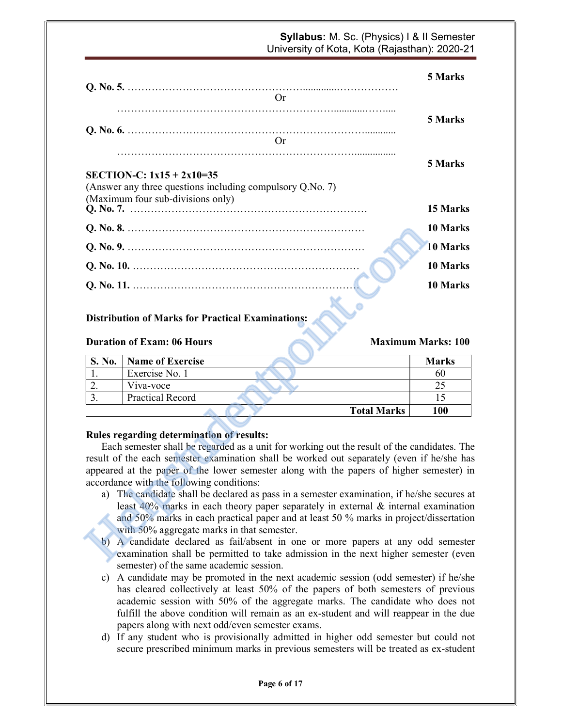|              |                                                                                                                                                                                   | 5 Marks                   |
|--------------|-----------------------------------------------------------------------------------------------------------------------------------------------------------------------------------|---------------------------|
|              | <b>Or</b>                                                                                                                                                                         |                           |
|              |                                                                                                                                                                                   | 5 Marks                   |
|              | <b>Or</b>                                                                                                                                                                         |                           |
|              |                                                                                                                                                                                   |                           |
|              |                                                                                                                                                                                   | 5 Marks                   |
|              | SECTION-C: $1x15 + 2x10=35$                                                                                                                                                       |                           |
|              | (Answer any three questions including compulsory Q.No. 7)                                                                                                                         |                           |
|              | (Maximum four sub-divisions only)                                                                                                                                                 | 15 Marks                  |
|              |                                                                                                                                                                                   |                           |
|              |                                                                                                                                                                                   | 10 Marks                  |
|              |                                                                                                                                                                                   | 10 Marks                  |
|              |                                                                                                                                                                                   | 10 Marks                  |
|              |                                                                                                                                                                                   | 10 Marks                  |
|              |                                                                                                                                                                                   |                           |
|              | <b>Distribution of Marks for Practical Examinations:</b><br><b>Duration of Exam: 06 Hours</b>                                                                                     | <b>Maximum Marks: 100</b> |
|              |                                                                                                                                                                                   |                           |
|              |                                                                                                                                                                                   |                           |
| S. No.<br>1. | <b>Name of Exercise</b><br>Exercise No. 1                                                                                                                                         | <b>Marks</b><br>60        |
| 2.           | Viva-voce                                                                                                                                                                         | 25                        |
| 3.           | <b>Practical Record</b>                                                                                                                                                           | 15                        |
|              | <b>Total Marks</b>                                                                                                                                                                | 100                       |
|              |                                                                                                                                                                                   |                           |
|              | Rules regarding determination of results:                                                                                                                                         |                           |
|              | Each semester shall be regarded as a unit for working out the result of the candidates. The                                                                                       |                           |
|              | result of the each semester examination shall be worked out separately (even if he/she has                                                                                        |                           |
|              | appeared at the paper of the lower semester along with the papers of higher semester) in                                                                                          |                           |
|              | accordance with the following conditions:                                                                                                                                         |                           |
|              | a) The candidate shall be declared as pass in a semester examination, if he/she secures at                                                                                        |                           |
|              | least $40\%$ marks in each theory paper separately in external $\&$ internal examination<br>and 50% marks in each practical paper and at least 50 % marks in project/dissertation |                           |
|              | with 50% aggregate marks in that semester.                                                                                                                                        |                           |
| b)           | A candidate declared as fail/absent in one or more papers at any odd semester<br>examination shall be permitted to take admission in the next higher semester (even               |                           |

#### Distribution of Marks for Practical Examinations:

#### **Duration of Exam: 06 Hours Maximum Marks: 100**

| S. No.   | <b>Name of Exercise</b> |                    | <b>Marks</b> |
|----------|-------------------------|--------------------|--------------|
|          | Exercise No. 1          |                    | 60           |
| <u>.</u> | Viva-voce               |                    |              |
|          | Practical Record        |                    |              |
|          |                         | <b>Total Marks</b> | <b>100</b>   |

#### Rules regarding determination of results:

- a) The candidate shall be declared as pass in a semester examination, if he/she secures at least 40% marks in each theory paper separately in external & internal examination and 50% marks in each practical paper and at least 50 % marks in project/dissertation with 50% aggregate marks in that semester.
- b) A candidate declared as fail/absent in one or more papers at any odd semester examination shall be permitted to take admission in the next higher semester (even semester) of the same academic session.
- c) A candidate may be promoted in the next academic session (odd semester) if he/she has cleared collectively at least 50% of the papers of both semesters of previous academic session with 50% of the aggregate marks. The candidate who does not fulfill the above condition will remain as an ex-student and will reappear in the due papers along with next odd/even semester exams.
- d) If any student who is provisionally admitted in higher odd semester but could not secure prescribed minimum marks in previous semesters will be treated as ex-student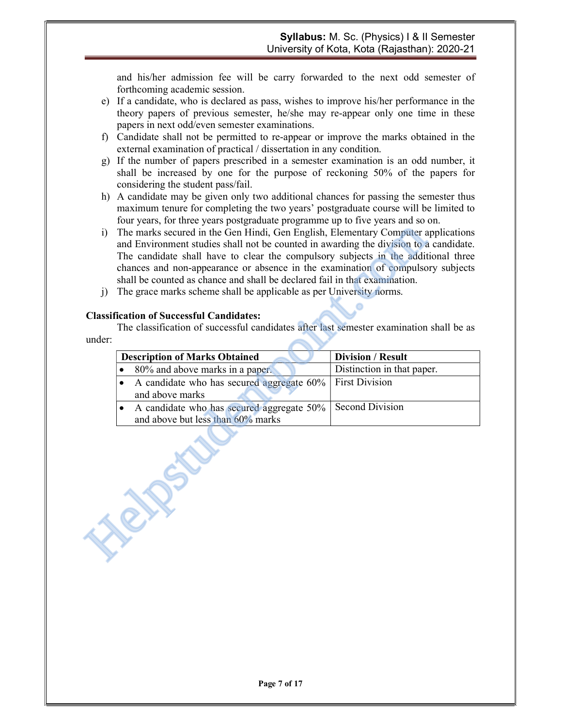and his/her admission fee will be carry forwarded to the next odd semester of forthcoming academic session.

- e) If a candidate, who is declared as pass, wishes to improve his/her performance in the theory papers of previous semester, he/she may re-appear only one time in these papers in next odd/even semester examinations.
- f) Candidate shall not be permitted to re-appear or improve the marks obtained in the external examination of practical / dissertation in any condition.
- g) If the number of papers prescribed in a semester examination is an odd number, it shall be increased by one for the purpose of reckoning 50% of the papers for considering the student pass/fail.
- h) A candidate may be given only two additional chances for passing the semester thus maximum tenure for completing the two years' postgraduate course will be limited to four years, for three years postgraduate programme up to five years and so on.
- i) The marks secured in the Gen Hindi, Gen English, Elementary Computer applications and Environment studies shall not be counted in awarding the division to a candidate. The candidate shall have to clear the compulsory subjects in the additional three chances and non-appearance or absence in the examination of compulsory subjects shall be counted as chance and shall be declared fail in that examination.
- j) The grace marks scheme shall be applicable as per University norms.

#### Classification of Successful Candidates:

| i)<br>$\left( \right)$ | The marks secured in the Gen Hindi, Gen English, Elementary Computer applications<br>and Environment studies shall not be counted in awarding the division to a candidate.<br>The candidate shall have to clear the compulsory subjects in the additional three<br>chances and non-appearance or absence in the examination of compulsory subjects<br>shall be counted as chance and shall be declared fail in that examination.<br>The grace marks scheme shall be applicable as per University norms. |                            |  |  |  |  |
|------------------------|---------------------------------------------------------------------------------------------------------------------------------------------------------------------------------------------------------------------------------------------------------------------------------------------------------------------------------------------------------------------------------------------------------------------------------------------------------------------------------------------------------|----------------------------|--|--|--|--|
|                        | <b>Classification of Successful Candidates:</b>                                                                                                                                                                                                                                                                                                                                                                                                                                                         |                            |  |  |  |  |
|                        | The classification of successful candidates after last semester examination shall be as                                                                                                                                                                                                                                                                                                                                                                                                                 |                            |  |  |  |  |
| under:                 |                                                                                                                                                                                                                                                                                                                                                                                                                                                                                                         |                            |  |  |  |  |
|                        | <b>Description of Marks Obtained</b>                                                                                                                                                                                                                                                                                                                                                                                                                                                                    | <b>Division / Result</b>   |  |  |  |  |
|                        | 80% and above marks in a paper.                                                                                                                                                                                                                                                                                                                                                                                                                                                                         | Distinction in that paper. |  |  |  |  |
|                        | A candidate who has secured aggregate 60%<br>٠                                                                                                                                                                                                                                                                                                                                                                                                                                                          | <b>First Division</b>      |  |  |  |  |
|                        | and above marks                                                                                                                                                                                                                                                                                                                                                                                                                                                                                         |                            |  |  |  |  |
|                        | A candidate who has secured aggregate 50%<br>٠<br>and above but less than 60% marks                                                                                                                                                                                                                                                                                                                                                                                                                     | <b>Second Division</b>     |  |  |  |  |
|                        |                                                                                                                                                                                                                                                                                                                                                                                                                                                                                                         |                            |  |  |  |  |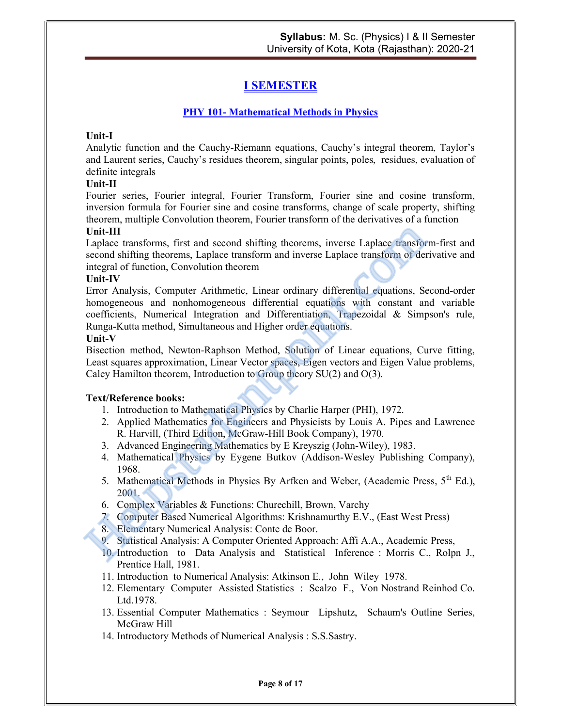### I SEMESTER

#### PHY 101- Mathematical Methods in Physics

#### Unit-I

Analytic function and the Cauchy-Riemann equations, Cauchy's integral theorem, Taylor's and Laurent series, Cauchy's residues theorem, singular points, poles, residues, evaluation of definite integrals

#### Unit-II

Fourier series, Fourier integral, Fourier Transform, Fourier sine and cosine transform, inversion formula for Fourier sine and cosine transforms, change of scale property, shifting theorem, multiple Convolution theorem, Fourier transform of the derivatives of a function

#### Unit-III

Laplace transforms, first and second shifting theorems, inverse Laplace transform-first and second shifting theorems, Laplace transform and inverse Laplace transform of derivative and integral of function, Convolution theorem

#### Unit-IV

Error Analysis, Computer Arithmetic, Linear ordinary differential equations, Second-order homogeneous and nonhomogeneous differential equations with constant and variable coefficients, Numerical Integration and Differentiation, Trapezoidal & Simpson's rule, Runga-Kutta method, Simultaneous and Higher order equations. Unit-III<br>
Laplace transforms, first and second shifting theorems, inverse Laplace transform<br>
second shifting theorems, Laplace transform and inverse Laplace transform of der<br>
integral of function, Convolution theorem<br>
Erro

#### Unit-V

Bisection method, Newton-Raphson Method, Solution of Linear equations, Curve fitting, Least squares approximation, Linear Vector spaces, Eigen vectors and Eigen Value problems, Caley Hamilton theorem, Introduction to Group theory SU(2) and O(3).

- 1. Introduction to Mathematical Physics by Charlie Harper (PHI), 1972.
- 2. Applied Mathematics for Engineers and Physicists by Louis A. Pipes and Lawrence R. Harvill, (Third Edition, McGraw-Hill Book Company), 1970.
- 3. Advanced Engineering Mathematics by E Kreyszig (John-Wiley), 1983.
- 4. Mathematical Physics by Eygene Butkov (Addison-Wesley Publishing Company), 1968.
- 5. Mathematical Methods in Physics By Arfken and Weber, (Academic Press, 5<sup>th</sup> Ed.), 2001.
- 6. Complex Variables & Functions: Churechill, Brown, Varchy
- 7. Computer Based Numerical Algorithms: Krishnamurthy E.V., (East West Press)
- 8. Elementary Numerical Analysis: Conte de Boor.
- 9. Statistical Analysis: A Computer Oriented Approach: Affi A.A., Academic Press,
- 10. Introduction to Data Analysis and Statistical Inference : Morris C., Rolpn J., Prentice Hall, 1981.
- 11. Introduction to Numerical Analysis: Atkinson E., John Wiley 1978.
- 12. Elementary Computer Assisted Statistics : Scalzo F., Von Nostrand Reinhod Co. Ltd.1978.
- 13. Essential Computer Mathematics : Seymour Lipshutz, Schaum's Outline Series, McGraw Hill
- 14. Introductory Methods of Numerical Analysis : S.S.Sastry.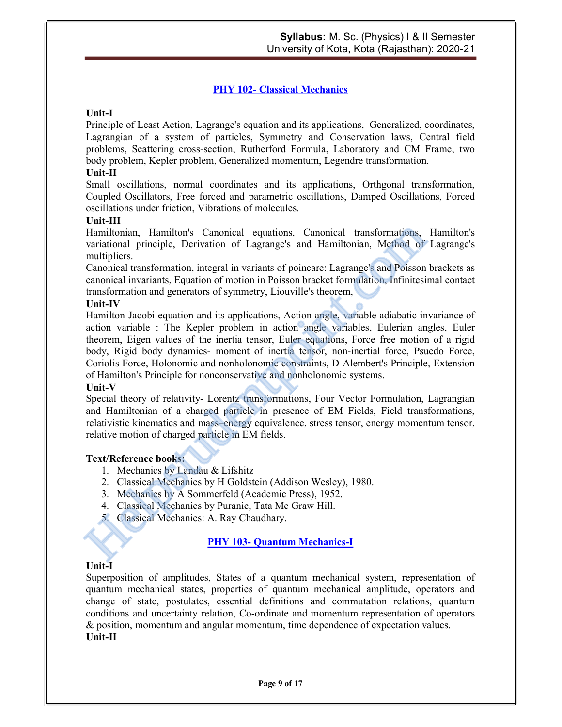#### PHY 102- Classical Mechanics

#### Unit-I

Principle of Least Action, Lagrange's equation and its applications, Generalized, coordinates, Lagrangian of a system of particles, Symmetry and Conservation laws, Central field problems, Scattering cross-section, Rutherford Formula, Laboratory and CM Frame, two body problem, Kepler problem, Generalized momentum, Legendre transformation.

#### Unit-II

Small oscillations, normal coordinates and its applications, Orthgonal transformation, Coupled Oscillators, Free forced and parametric oscillations, Damped Oscillations, Forced oscillations under friction, Vibrations of molecules.

#### Unit-III

Hamiltonian, Hamilton's Canonical equations, Canonical transformations, Hamilton's variational principle, Derivation of Lagrange's and Hamiltonian, Method of Lagrange's multipliers.

Canonical transformation, integral in variants of poincare: Lagrange's and Poisson brackets as canonical invariants, Equation of motion in Poisson bracket formulation, Infinitesimal contact transformation and generators of symmetry, Liouville's theorem,

#### Unit-IV

Hamilton-Jacobi equation and its applications, Action angle, variable adiabatic invariance of action variable : The Kepler problem in action angle variables, Eulerian angles, Euler theorem, Eigen values of the inertia tensor, Euler equations, Force free motion of a rigid body, Rigid body dynamics- moment of inertia tensor, non-inertial force, Psuedo Force, Coriolis Force, Holonomic and nonholonomic constraints, D-Alembert's Principle, Extension of Hamilton's Principle for nonconservative and nonholonomic systems. Hamiltonian, Hamilton's Canonical equations, Canonical transformations, variational principle, Derivation of Lagrange's and Hamiltonian, Method of multipliers.<br>
multipliers.<br>
canonical transformation, integral in variants

#### Unit-V

Special theory of relativity- Lorentz transformations, Four Vector Formulation, Lagrangian and Hamiltonian of a charged particle in presence of EM Fields, Field transformations, relativistic kinematics and mass–energy equivalence, stress tensor, energy momentum tensor, relative motion of charged particle in EM fields.

#### Text/Reference books:

- 1. Mechanics by Landau & Lifshitz
- 2. Classical Mechanics by H Goldstein (Addison Wesley), 1980.
- 3. Mechanics by A Sommerfeld (Academic Press), 1952.
- 4. Classical Mechanics by Puranic, Tata Mc Graw Hill.
- 5. Classical Mechanics: A. Ray Chaudhary.

#### PHY 103- Quantum Mechanics-I

#### Unit-I

Superposition of amplitudes, States of a quantum mechanical system, representation of quantum mechanical states, properties of quantum mechanical amplitude, operators and change of state, postulates, essential definitions and commutation relations, quantum conditions and uncertainty relation, Co-ordinate and momentum representation of operators & position, momentum and angular momentum, time dependence of expectation values. Unit-II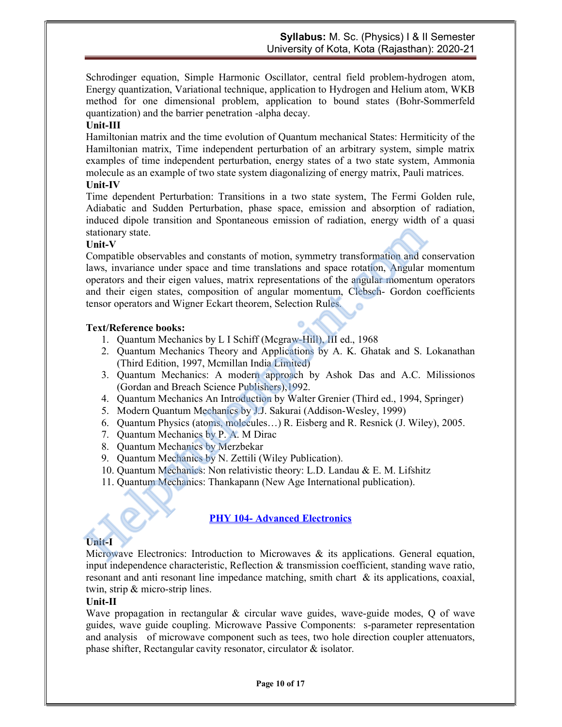Schrodinger equation, Simple Harmonic Oscillator, central field problem-hydrogen atom, Energy quantization, Variational technique, application to Hydrogen and Helium atom, WKB method for one dimensional problem, application to bound states (Bohr-Sommerfeld quantization) and the barrier penetration -alpha decay.

#### Unit-III

Hamiltonian matrix and the time evolution of Quantum mechanical States: Hermiticity of the Hamiltonian matrix, Time independent perturbation of an arbitrary system, simple matrix examples of time independent perturbation, energy states of a two state system, Ammonia molecule as an example of two state system diagonalizing of energy matrix, Pauli matrices. Unit-IV

#### Time dependent Perturbation: Transitions in a two state system, The Fermi Golden rule, Adiabatic and Sudden Perturbation, phase space, emission and absorption of radiation, induced dipole transition and Spontaneous emission of radiation, energy width of a quasi stationary state.

#### Unit-V

Compatible observables and constants of motion, symmetry transformation and conservation laws, invariance under space and time translations and space rotation, Angular momentum operators and their eigen values, matrix representations of the angular momentum operators and their eigen states, composition of angular momentum, Clebsch- Gordon coefficients tensor operators and Wigner Eckart theorem, Selection Rules. Stationary state.<br>
Compatible observables and constants of motion, symmetry transformation and claws, invariance under space and time translations and space rotation, Angular<br>
and their eigen values, matrix representations

#### Text/Reference books:

- 1. Quantum Mechanics by L I Schiff (Mcgraw-Hill), III ed., 1968
- 2. Quantum Mechanics Theory and Applications by A. K. Ghatak and S. Lokanathan (Third Edition, 1997, Mcmillan India Limited)
- 3. Quantum Mechanics: A modern approach by Ashok Das and A.C. Milissionos (Gordan and Breach Science Publishers),1992.
- 4. Quantum Mechanics An Introduction by Walter Grenier (Third ed., 1994, Springer)
- 5. Modern Quantum Mechanics by J.J. Sakurai (Addison-Wesley, 1999)
- 6. Quantum Physics (atoms, molecules…) R. Eisberg and R. Resnick (J. Wiley), 2005.
- 7. Quantum Mechanics by P. A. M Dirac
- 8. Quantum Mechanics by Merzbekar
- 9. Quantum Mechanics by N. Zettili (Wiley Publication).
- 10. Quantum Mechanics: Non relativistic theory: L.D. Landau & E. M. Lifshitz
- 11. Quantum Mechanics: Thankapann (New Age International publication).

#### **PHY 104- Advanced Electronics**

#### Unit-I

Microwave Electronics: Introduction to Microwaves  $\&$  its applications. General equation, input independence characteristic, Reflection & transmission coefficient, standing wave ratio, resonant and anti resonant line impedance matching, smith chart & its applications, coaxial, twin, strip & micro-strip lines.

#### Unit-II

Wave propagation in rectangular & circular wave guides, wave-guide modes, Q of wave guides, wave guide coupling. Microwave Passive Components: s-parameter representation and analysis of microwave component such as tees, two hole direction coupler attenuators, phase shifter, Rectangular cavity resonator, circulator & isolator.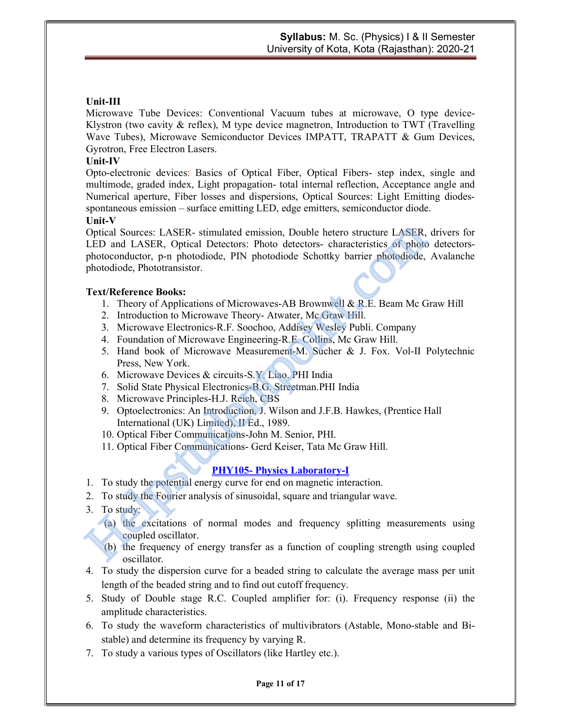#### Unit-III

Microwave Tube Devices: Conventional Vacuum tubes at microwave, O type device-Klystron (two cavity  $\&$  reflex), M type device magnetron, Introduction to TWT (Travelling Wave Tubes), Microwave Semiconductor Devices IMPATT, TRAPATT & Gum Devices, Gyrotron, Free Electron Lasers.

#### Unit-IV

Opto-electronic devices: Basics of Optical Fiber, Optical Fibers- step index, single and multimode, graded index, Light propagation- total internal reflection, Acceptance angle and Numerical aperture, Fiber losses and dispersions, Optical Sources: Light Emitting diodesspontaneous emission – surface emitting LED, edge emitters, semiconductor diode.

#### Unit-V

Optical Sources: LASER- stimulated emission, Double hetero structure LASER, drivers for LED and LASER, Optical Detectors: Photo detectors- characteristics of photo detectorsphotoconductor, p-n photodiode, PIN photodiode Schottky barrier photodiode, Avalanche photodiode, Phototransistor. Optical Sources: LASER- stimulated emission, Double hetero structure LASER, LDD and LASER, Optical Detectors: Photo detectors- characteristics of photomoductor, p-n photodiode, PIN photodiode Schottky barrier photodiode,

#### Text/Reference Books:

- 1. Theory of Applications of Microwaves-AB Brownwell & R.E. Beam Mc Graw Hill
- 2. Introduction to Microwave Theory- Atwater, Mc Graw Hill.
- 3. Microwave Electronics-R.F. Soochoo, Addisey Wesley Publi. Company
- 4. Foundation of Microwave Engineering-R.E. Collins, Mc Graw Hill.
- 5. Hand book of Microwave Measurement-M. Sucher & J. Fox. Vol-II Polytechnic Press, New York.
- 6. Microwave Devices & circuits-S.Y. Liao. PHI India
- 7. Solid State Physical Electronics-B.G. Streetman.PHI India
- 8. Microwave Principles-H.J. Reich, CBS
- 9. Optoelectronics: An Introduction, J. Wilson and J.F.B. Hawkes, (Prentice Hall International (UK) Limited), II Ed., 1989.
- 10. Optical Fiber Communications-John M. Senior, PHI.
- 11. Optical Fiber Communications- Gerd Keiser, Tata Mc Graw Hill.

#### PHY105- Physics Laboratory-I

- 1. To study the potential energy curve for end on magnetic interaction.
- 2. To study the Fourier analysis of sinusoidal, square and triangular wave.
- 3. To study:
	- (a) the excitations of normal modes and frequency splitting measurements using coupled oscillator.
	- (b) the frequency of energy transfer as a function of coupling strength using coupled oscillator.
- 4. To study the dispersion curve for a beaded string to calculate the average mass per unit length of the beaded string and to find out cutoff frequency.
- 5. Study of Double stage R.C. Coupled amplifier for: (i). Frequency response (ii) the amplitude characteristics.
- 6. To study the waveform characteristics of multivibrators (Astable, Mono-stable and Bistable) and determine its frequency by varying R.
- 7. To study a various types of Oscillators (like Hartley etc.).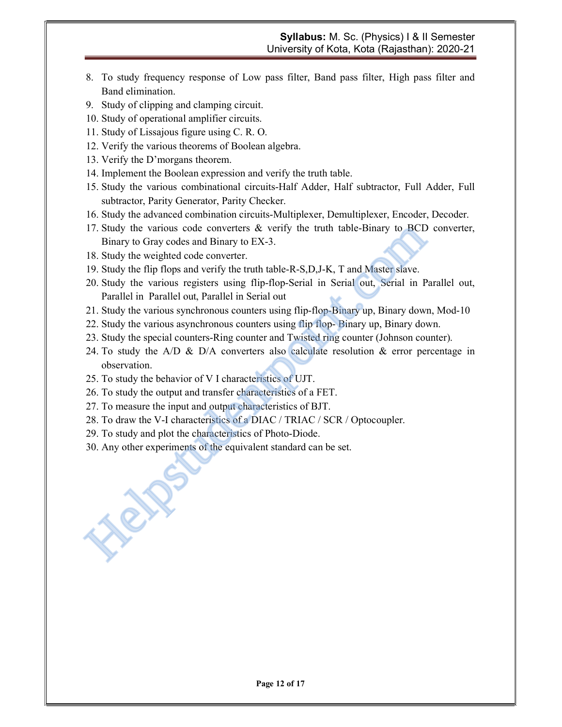- 8. To study frequency response of Low pass filter, Band pass filter, High pass filter and Band elimination.
- 9. Study of clipping and clamping circuit.
- 10. Study of operational amplifier circuits.
- 11. Study of Lissajous figure using C. R. O.
- 12. Verify the various theorems of Boolean algebra.
- 13. Verify the D'morgans theorem.
- 14. Implement the Boolean expression and verify the truth table.
- 15. Study the various combinational circuits-Half Adder, Half subtractor, Full Adder, Full subtractor, Parity Generator, Parity Checker.
- 16. Study the advanced combination circuits-Multiplexer, Demultiplexer, Encoder, Decoder.
- 17. Study the various code converters & verify the truth table-Binary to BCD converter, Binary to Gray codes and Binary to EX-3.
- 18. Study the weighted code converter.
- 19. Study the flip flops and verify the truth table-R-S,D,J-K, T and Master slave.
- 20. Study the various registers using flip-flop-Serial in Serial out, Serial in Parallel out, Parallel in Parallel out, Parallel in Serial out 17. Study the various code converters & verify the truth table-Binary to BCD<br>
Binary to Gray codes and Binary to EX-3.<br>
18. Study the weighted code converter.<br>
19. Study the flip flops and verify the truth table-R-S,D,J-K,
- 21. Study the various synchronous counters using flip-flop-Binary up, Binary down, Mod-10
- 22. Study the various asynchronous counters using flip flop- Binary up, Binary down.
- 23. Study the special counters-Ring counter and Twisted ring counter (Johnson counter).
- 24. To study the  $A/D \& D/A$  converters also calculate resolution  $\&$  error percentage in observation.
- 25. To study the behavior of V I characteristics of UJT.
- 26. To study the output and transfer characteristics of a FET.
- 27. To measure the input and output characteristics of BJT.
- 28. To draw the V-I characteristics of a DIAC / TRIAC / SCR / Optocoupler.
- 29. To study and plot the characteristics of Photo-Diode.
- 30. Any other experiments of the equivalent standard can be set.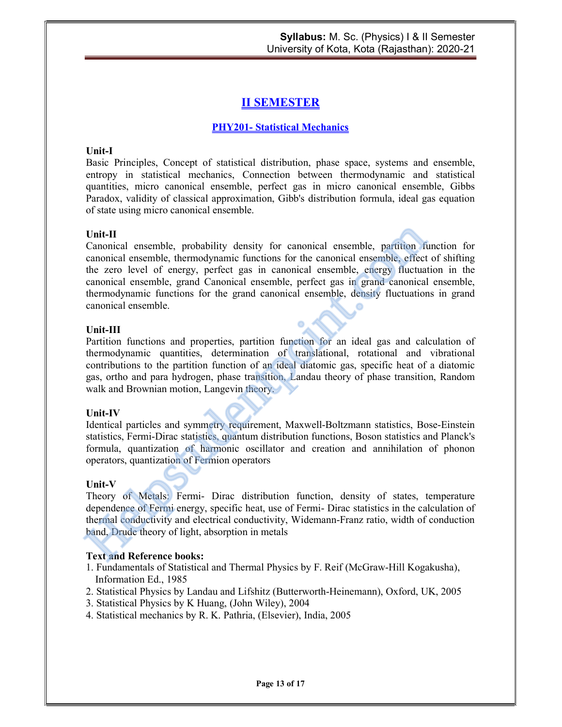### II SEMESTER

#### PHY201- Statistical Mechanics

#### Unit-I

Basic Principles, Concept of statistical distribution, phase space, systems and ensemble, entropy in statistical mechanics, Connection between thermodynamic and statistical quantities, micro canonical ensemble, perfect gas in micro canonical ensemble, Gibbs Paradox, validity of classical approximation, Gibb's distribution formula, ideal gas equation of state using micro canonical ensemble.

#### Unit-II

Canonical ensemble, probability density for canonical ensemble, partition function for canonical ensemble, thermodynamic functions for the canonical ensemble, effect of shifting the zero level of energy, perfect gas in canonical ensemble, energy fluctuation in the canonical ensemble, grand Canonical ensemble, perfect gas in grand canonical ensemble, thermodynamic functions for the grand canonical ensemble, density fluctuations in grand canonical ensemble. **Unit-II**<br>Canonical ensemble, probability density for canonical ensemble, partition fic<br>canonical ensemble, thermodynamic functions for the canonical ensemble, effect<br>the zero level of energy, perfect gas in canonical ens

#### Unit-III

Partition functions and properties, partition function for an ideal gas and calculation of thermodynamic quantities, determination of translational, rotational and vibrational contributions to the partition function of an ideal diatomic gas, specific heat of a diatomic gas, ortho and para hydrogen, phase transition, Landau theory of phase transition, Random walk and Brownian motion, Langevin theory.

#### Unit-IV

Identical particles and symmetry requirement, Maxwell-Boltzmann statistics, Bose-Einstein statistics, Fermi-Dirac statistics, quantum distribution functions, Boson statistics and Planck's formula, quantization of harmonic oscillator and creation and annihilation of phonon operators, quantization of Fermion operators

#### Unit-V

Theory of Metals: Fermi- Dirac distribution function, density of states, temperature dependence of Fermi energy, specific heat, use of Fermi- Dirac statistics in the calculation of thermal conductivity and electrical conductivity, Widemann-Franz ratio, width of conduction band, Drude theory of light, absorption in metals

#### Text and Reference books:

- 1. Fundamentals of Statistical and Thermal Physics by F. Reif (McGraw-Hill Kogakusha), Information Ed., 1985
- 2. Statistical Physics by Landau and Lifshitz (Butterworth-Heinemann), Oxford, UK, 2005
- 3. Statistical Physics by K Huang, (John Wiley), 2004
- 4. Statistical mechanics by R. K. Pathria, (Elsevier), India, 2005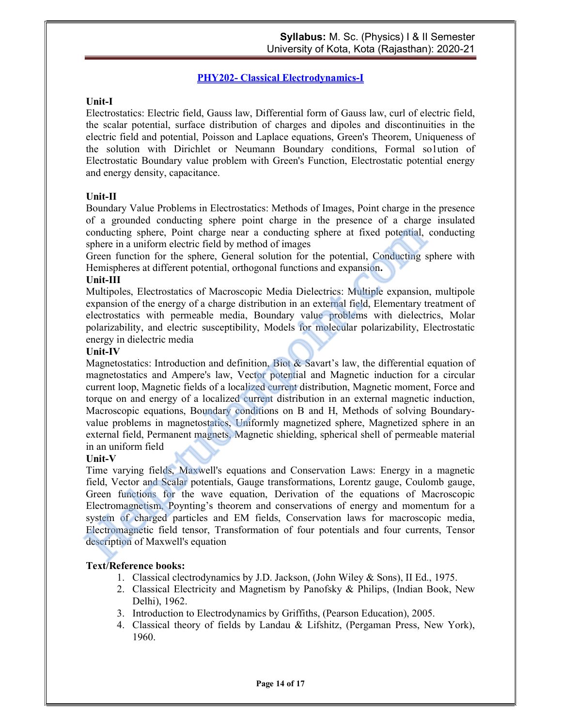#### PHY202- Classical Electrodynamics-I

#### Unit-I

Electrostatics: Electric field, Gauss law, Differential form of Gauss law, curl of electric field, the scalar potential, surface distribution of charges and dipoles and discontinuities in the electric field and potential, Poisson and Laplace equations, Green's Theorem, Uniqueness of the solution with Dirichlet or Neumann Boundary conditions, Formal so1ution of Electrostatic Boundary value problem with Green's Function, Electrostatic potential energy and energy density, capacitance.

#### Unit-II

Boundary Value Problems in Electrostatics: Methods of Images, Point charge in the presence of a grounded conducting sphere point charge in the presence of a charge insulated conducting sphere, Point charge near a conducting sphere at fixed potential, conducting sphere in a uniform electric field by method of images

Green function for the sphere, General solution for the potential, Conducting sphere with Hemispheres at different potential, orthogonal functions and expansion.

#### Unit-III

Multipoles, Electrostatics of Macroscopic Media Dielectrics: Multiple expansion, multipole expansion of the energy of a charge distribution in an external field, Elementary treatment of electrostatics with permeable media, Boundary value problems with dielectrics, Molar polarizability, and electric susceptibility, Models for molecular polarizability, Electrostatic energy in dielectric media

#### Unit-IV

Magnetostatics: Introduction and definition, Biot & Savart's law, the differential equation of magnetostatics and Ampere's law, Vector potential and Magnetic induction for a circular current loop, Magnetic fields of a localized current distribution, Magnetic moment, Force and torque on and energy of a localized current distribution in an external magnetic induction, Macroscopic equations, Boundary conditions on B and H, Methods of solving Boundaryvalue problems in magnetostatics, Uniformly magnetized sphere, Magnetized sphere in an external field, Permanent magnets, Magnetic shielding, spherical shell of permeable material in an uniform field conducting sphere, Point charge near a conducting sphere at fixed potential, sphere in a uniform electric field by method of images<br>of the conducting s Green in uniform electric field by method of images<br>of the sphere, Gen

#### Unit-V

Time varying fields, Maxwell's equations and Conservation Laws: Energy in a magnetic field, Vector and Scalar potentials, Gauge transformations, Lorentz gauge, Coulomb gauge, Green functions for the wave equation, Derivation of the equations of Macroscopic Electromagnetism, Poynting's theorem and conservations of energy and momentum for a system of charged particles and EM fields, Conservation laws for macroscopic media, Electromagnetic field tensor, Transformation of four potentials and four currents, Tensor description of Maxwell's equation

- 1. Classical clectrodynamics by J.D. Jackson, (John Wiley & Sons), II Ed., 1975.
- 2. Classical Electricity and Magnetism by Panofsky & Philips, (Indian Book, New Delhi), 1962.
- 3. Introduction to Electrodynamics by Griffiths, (Pearson Education), 2005.
- 4. Classical theory of fields by Landau & Lifshitz, (Pergaman Press, New York), 1960.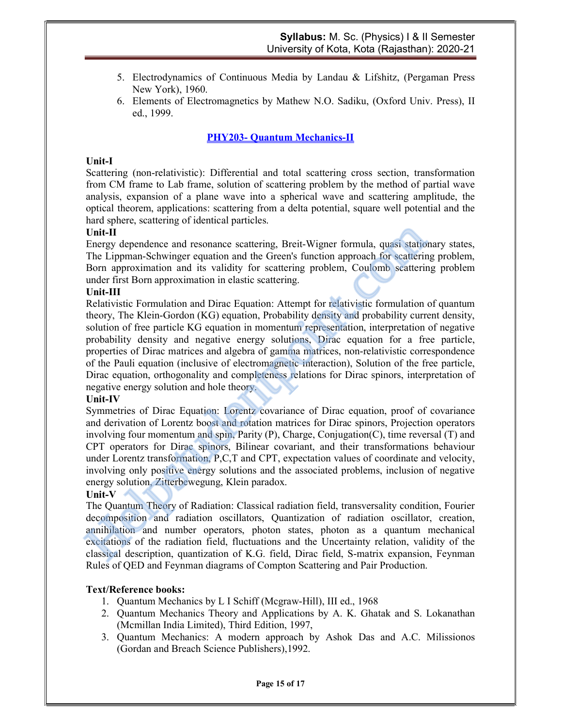- 5. Electrodynamics of Continuous Media by Landau & Lifshitz, (Pergaman Press New York), 1960.
- 6. Elements of Electromagnetics by Mathew N.O. Sadiku, (Oxford Univ. Press), II ed., 1999.

#### PHY203- Quantum Mechanics-II

#### Unit-I

Scattering (non-relativistic): Differential and total scattering cross section, transformation from CM frame to Lab frame, solution of scattering problem by the method of partial wave analysis, expansion of a plane wave into a spherical wave and scattering amplitude, the optical theorem, applications: scattering from a delta potential, square well potential and the hard sphere, scattering of identical particles.

#### Unit-II

Energy dependence and resonance scattering, Breit-Wigner formula, quasi stationary states, The Lippman-Schwinger equation and the Green's function approach for scattering problem, Born approximation and its validity for scattering problem, Coulomb scattering problem under first Born approximation in elastic scattering.

#### Unit-III

Relativistic Formulation and Dirac Equation: Attempt for relativistic formulation of quantum theory, The Klein-Gordon (KG) equation, Probability density and probability current density, solution of free particle KG equation in momentum representation, interpretation of negative probability density and negative energy solutions, Dirac equation for a free particle, properties of Dirac matrices and algebra of gamma matrices, non-relativistic correspondence of the Pauli equation (inclusive of electromagnetic interaction), Solution of the free particle, Dirac equation, orthogonality and completeness relations for Dirac spinors, interpretation of negative energy solution and hole theory. **Unit-II**<br>
Energy dependence and resonance scattering, Breit-Wigner formula, quasi station<br>
The Lippman-Schwinger equation and the Green's function approach for scatterin<br>
Born approximation and its validity for scatterin

#### Unit-IV

Symmetries of Dirac Equation: Lorentz covariance of Dirac equation, proof of covariance and derivation of Lorentz boost and rotation matrices for Dirac spinors, Projection operators involving four momentum and spin, Parity (P), Charge, Conjugation(C), time reversal (T) and CPT operators for Dirac spinors, Bilinear covariant, and their transformations behaviour under Lorentz transformation, P,C,T and CPT, expectation values of coordinate and velocity, involving only positive energy solutions and the associated problems, inclusion of negative energy solution, Zitterbewegung, Klein paradox.

#### Unit-V

The Quantum Theory of Radiation: Classical radiation field, transversality condition, Fourier decomposition and radiation oscillators, Quantization of radiation oscillator, creation, annihilation and number operators, photon states, photon as a quantum mechanical excitations of the radiation field, fluctuations and the Uncertainty relation, validity of the classical description, quantization of K.G. field, Dirac field, S-matrix expansion, Feynman Rules of QED and Feynman diagrams of Compton Scattering and Pair Production.

- 1. Quantum Mechanics by L I Schiff (Mcgraw-Hill), III ed., 1968
- 2. Quantum Mechanics Theory and Applications by A. K. Ghatak and S. Lokanathan (Mcmillan India Limited), Third Edition, 1997,
- 3. Quantum Mechanics: A modern approach by Ashok Das and A.C. Milissionos (Gordan and Breach Science Publishers),1992.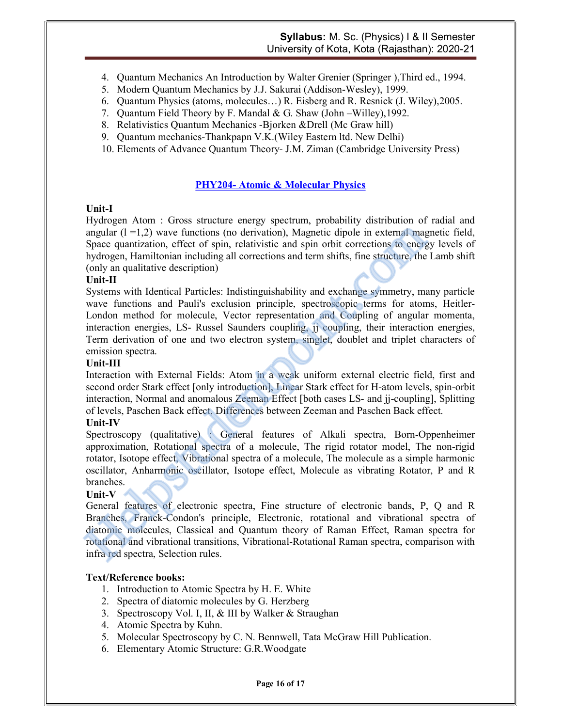- 4. Quantum Mechanics An Introduction by Walter Grenier (Springer ),Third ed., 1994.
- 5. Modern Quantum Mechanics by J.J. Sakurai (Addison-Wesley), 1999.
- 6. Quantum Physics (atoms, molecules…) R. Eisberg and R. Resnick (J. Wiley),2005.
- 7. Quantum Field Theory by F. Mandal & G. Shaw (John –Willey),1992.
- 8. Relativistics Quantum Mechanics -Bjorken &Drell (Mc Graw hill)
- 9. Quantum mechanics-Thankpapn V.K.(Wiley Eastern ltd. New Delhi)
- 10. Elements of Advance Quantum Theory- J.M. Ziman (Cambridge University Press)

#### PHY204- Atomic & Molecular Physics

#### Unit-I

Hydrogen Atom : Gross structure energy spectrum, probability distribution of radial and angular  $(l = 1,2)$  wave functions (no derivation), Magnetic dipole in external magnetic field, Space quantization, effect of spin, relativistic and spin orbit corrections to energy levels of hydrogen, Hamiltonian including all corrections and term shifts, fine structure, the Lamb shift (only an qualitative description)

#### Unit-II

Systems with Identical Particles: Indistinguishability and exchange symmetry, many particle wave functions and Pauli's exclusion principle, spectroscopic terms for atoms, Heitler-London method for molecule, Vector representation and Coupling of angular momenta, interaction energies, LS- Russel Saunders coupling, jj coupling, their interaction energies, Term derivation of one and two electron system, singlet, doublet and triplet characters of emission spectra. angular (1=1,2) wave functions (no derivation), Magnetic dipole in external magnetic dipole space quantization, effect of spin, relativistic and spin orbit corrections to energy hydrogen, Hamiltonian including all correct

#### Unit-III

Interaction with External Fields: Atom in a weak uniform external electric field, first and second order Stark effect [only introduction], Linear Stark effect for H-atom levels, spin-orbit interaction, Normal and anomalous Zeeman Effect [both cases LS- and jj-coupling], Splitting of levels, Paschen Back effect, Differences between Zeeman and Paschen Back effect.

#### Unit-IV

Spectroscopy (qualitative) : General features of Alkali spectra, Born-Oppenheimer approximation, Rotational spectra of a molecule, The rigid rotator model, The non-rigid rotator, Isotope effect, Vibrational spectra of a molecule, The molecule as a simple harmonic oscillator, Anharmonic oscillator, Isotope effect, Molecule as vibrating Rotator, P and R branches.

#### Unit-V

General features of electronic spectra, Fine structure of electronic bands, P, Q and R Branches, Franck-Condon's principle, Electronic, rotational and vibrational spectra of diatomic molecules, Classical and Quantum theory of Raman Effect, Raman spectra for rotational and vibrational transitions, Vibrational-Rotational Raman spectra, comparison with infra red spectra, Selection rules.

- 1. Introduction to Atomic Spectra by H. E. White
- 2. Spectra of diatomic molecules by G. Herzberg
- 3. Spectroscopy Vol. I, II, & III by Walker & Straughan
- 4. Atomic Spectra by Kuhn.
- 5. Molecular Spectroscopy by C. N. Bennwell, Tata McGraw Hill Publication.
- 6. Elementary Atomic Structure: G.R.Woodgate